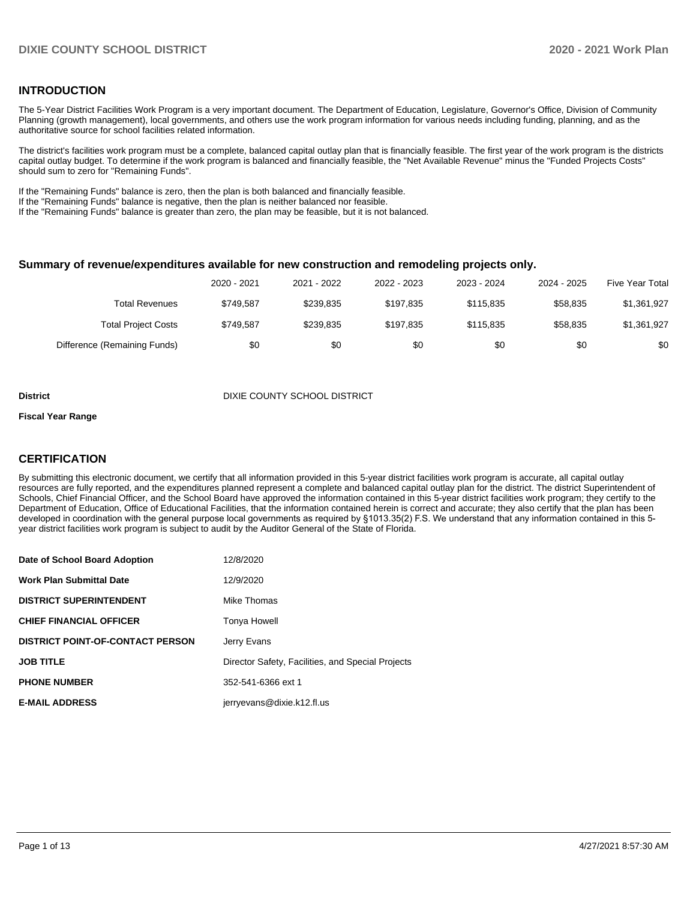### **INTRODUCTION**

The 5-Year District Facilities Work Program is a very important document. The Department of Education, Legislature, Governor's Office, Division of Community Planning (growth management), local governments, and others use the work program information for various needs including funding, planning, and as the authoritative source for school facilities related information.

The district's facilities work program must be a complete, balanced capital outlay plan that is financially feasible. The first year of the work program is the districts capital outlay budget. To determine if the work program is balanced and financially feasible, the "Net Available Revenue" minus the "Funded Projects Costs" should sum to zero for "Remaining Funds".

If the "Remaining Funds" balance is zero, then the plan is both balanced and financially feasible.

If the "Remaining Funds" balance is negative, then the plan is neither balanced nor feasible.

If the "Remaining Funds" balance is greater than zero, the plan may be feasible, but it is not balanced.

#### **Summary of revenue/expenditures available for new construction and remodeling projects only.**

|                              | 2020 - 2021 | 2021 - 2022 | 2022 - 2023 | 2023 - 2024 | 2024 - 2025 | Five Year Total |
|------------------------------|-------------|-------------|-------------|-------------|-------------|-----------------|
| Total Revenues               | \$749.587   | \$239.835   | \$197.835   | \$115,835   | \$58,835    | \$1,361,927     |
| <b>Total Project Costs</b>   | \$749.587   | \$239.835   | \$197.835   | \$115.835   | \$58.835    | \$1,361,927     |
| Difference (Remaining Funds) | \$0         | \$0         | \$0         | \$0         | \$0         | \$0             |

**District District District District District** DIXIE COUNTY SCHOOL DISTRICT

#### **Fiscal Year Range**

### **CERTIFICATION**

By submitting this electronic document, we certify that all information provided in this 5-year district facilities work program is accurate, all capital outlay resources are fully reported, and the expenditures planned represent a complete and balanced capital outlay plan for the district. The district Superintendent of Schools, Chief Financial Officer, and the School Board have approved the information contained in this 5-year district facilities work program; they certify to the Department of Education, Office of Educational Facilities, that the information contained herein is correct and accurate; they also certify that the plan has been developed in coordination with the general purpose local governments as required by §1013.35(2) F.S. We understand that any information contained in this 5 year district facilities work program is subject to audit by the Auditor General of the State of Florida.

| Date of School Board Adoption           | 12/8/2020                                         |
|-----------------------------------------|---------------------------------------------------|
| <b>Work Plan Submittal Date</b>         | 12/9/2020                                         |
| <b>DISTRICT SUPERINTENDENT</b>          | Mike Thomas                                       |
| <b>CHIEF FINANCIAL OFFICER</b>          | Tonya Howell                                      |
| <b>DISTRICT POINT-OF-CONTACT PERSON</b> | Jerry Evans                                       |
| <b>JOB TITLE</b>                        | Director Safety, Facilities, and Special Projects |
| <b>PHONE NUMBER</b>                     | 352-541-6366 ext 1                                |
| <b>E-MAIL ADDRESS</b>                   | jerryevans@dixie.k12.fl.us                        |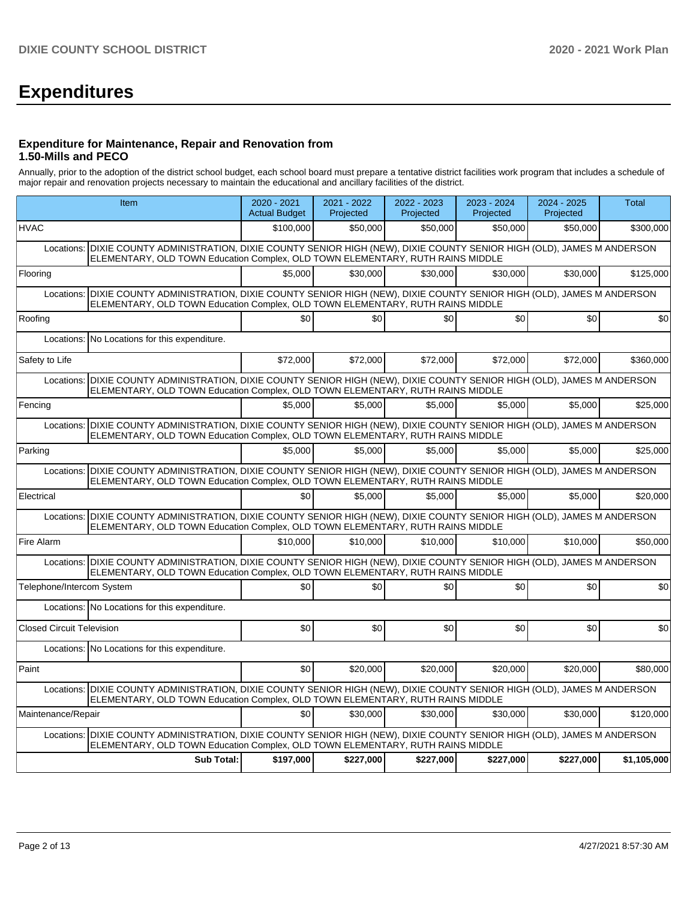# **Expenditures**

### **Expenditure for Maintenance, Repair and Renovation from 1.50-Mills and PECO**

Annually, prior to the adoption of the district school budget, each school board must prepare a tentative district facilities work program that includes a schedule of major repair and renovation projects necessary to maintain the educational and ancillary facilities of the district.

|                                  | Item                                                                                                                                                                                                       | 2020 - 2021<br><b>Actual Budget</b> | 2021 - 2022<br>Projected | 2022 - 2023<br>Projected | 2023 - 2024<br>Projected | 2024 - 2025<br>Projected | <b>Total</b> |  |  |  |  |
|----------------------------------|------------------------------------------------------------------------------------------------------------------------------------------------------------------------------------------------------------|-------------------------------------|--------------------------|--------------------------|--------------------------|--------------------------|--------------|--|--|--|--|
| <b>HVAC</b>                      |                                                                                                                                                                                                            | \$100,000                           | \$50,000                 | \$50,000                 | \$50,000                 | \$50,000                 | \$300,000    |  |  |  |  |
| Locations:                       | DIXIE COUNTY ADMINISTRATION, DIXIE COUNTY SENIOR HIGH (NEW), DIXIE COUNTY SENIOR HIGH (OLD), JAMES M ANDERSON<br>ELEMENTARY, OLD TOWN Education Complex, OLD TOWN ELEMENTARY, RUTH RAINS MIDDLE            |                                     |                          |                          |                          |                          |              |  |  |  |  |
| Flooring                         |                                                                                                                                                                                                            | \$5,000                             | \$30,000                 | \$30,000                 | \$30,000                 | \$30,000                 | \$125,000    |  |  |  |  |
| Locations:                       | DIXIE COUNTY ADMINISTRATION, DIXIE COUNTY SENIOR HIGH (NEW), DIXIE COUNTY SENIOR HIGH (OLD), JAMES M ANDERSON<br>ELEMENTARY, OLD TOWN Education Complex, OLD TOWN ELEMENTARY, RUTH RAINS MIDDLE            |                                     |                          |                          |                          |                          |              |  |  |  |  |
| Roofing                          |                                                                                                                                                                                                            | \$0                                 | \$0                      | \$0                      | \$0                      | \$0                      | \$0          |  |  |  |  |
| Locations:                       | No Locations for this expenditure.                                                                                                                                                                         |                                     |                          |                          |                          |                          |              |  |  |  |  |
| Safety to Life                   |                                                                                                                                                                                                            | \$72,000                            | \$72,000                 | \$72,000                 | \$72,000                 | \$72,000                 | \$360,000    |  |  |  |  |
| Locations:                       | DIXIE COUNTY ADMINISTRATION, DIXIE COUNTY SENIOR HIGH (NEW), DIXIE COUNTY SENIOR HIGH (OLD), JAMES M ANDERSON<br>ELEMENTARY, OLD TOWN Education Complex, OLD TOWN ELEMENTARY, RUTH RAINS MIDDLE            |                                     |                          |                          |                          |                          |              |  |  |  |  |
| Fencing                          |                                                                                                                                                                                                            | \$5,000                             | \$5,000                  | \$5,000                  | \$5,000                  | \$5,000                  | \$25,000     |  |  |  |  |
| Locations:                       | DIXIE COUNTY ADMINISTRATION, DIXIE COUNTY SENIOR HIGH (NEW), DIXIE COUNTY SENIOR HIGH (OLD), JAMES M ANDERSON<br>ELEMENTARY, OLD TOWN Education Complex, OLD TOWN ELEMENTARY, RUTH RAINS MIDDLE            |                                     |                          |                          |                          |                          |              |  |  |  |  |
| Parking                          |                                                                                                                                                                                                            | \$5,000                             | \$5,000                  | \$5,000                  | \$5.000                  | \$5.000                  | \$25,000     |  |  |  |  |
| Locations:                       | DIXIE COUNTY ADMINISTRATION, DIXIE COUNTY SENIOR HIGH (NEW), DIXIE COUNTY SENIOR HIGH (OLD), JAMES M ANDERSON<br>ELEMENTARY, OLD TOWN Education Complex, OLD TOWN ELEMENTARY, RUTH RAINS MIDDLE            |                                     |                          |                          |                          |                          |              |  |  |  |  |
| Electrical                       |                                                                                                                                                                                                            | \$0                                 | \$5,000                  | \$5,000                  | \$5.000                  | \$5.000                  | \$20,000     |  |  |  |  |
| Locations:                       | DIXIE COUNTY ADMINISTRATION, DIXIE COUNTY SENIOR HIGH (NEW), DIXIE COUNTY SENIOR HIGH (OLD), JAMES M ANDERSON<br>ELEMENTARY, OLD TOWN Education Complex, OLD TOWN ELEMENTARY, RUTH RAINS MIDDLE            |                                     |                          |                          |                          |                          |              |  |  |  |  |
| Fire Alarm                       |                                                                                                                                                                                                            | \$10,000                            | \$10,000                 | \$10,000                 | \$10,000                 | \$10,000                 | \$50,000     |  |  |  |  |
| Locations:                       | DIXIE COUNTY ADMINISTRATION, DIXIE COUNTY SENIOR HIGH (NEW), DIXIE COUNTY SENIOR HIGH (OLD), JAMES M ANDERSON<br>ELEMENTARY, OLD TOWN Education Complex, OLD TOWN ELEMENTARY, RUTH RAINS MIDDLE            |                                     |                          |                          |                          |                          |              |  |  |  |  |
| Telephone/Intercom System        |                                                                                                                                                                                                            | \$0                                 | \$0                      | \$0                      | \$0                      | \$0                      | \$0          |  |  |  |  |
|                                  | Locations: No Locations for this expenditure.                                                                                                                                                              |                                     |                          |                          |                          |                          |              |  |  |  |  |
| <b>Closed Circuit Television</b> |                                                                                                                                                                                                            | \$0                                 | \$0                      | \$0                      | \$0                      | \$0                      | \$0          |  |  |  |  |
|                                  | Locations: No Locations for this expenditure.                                                                                                                                                              |                                     |                          |                          |                          |                          |              |  |  |  |  |
| Paint                            |                                                                                                                                                                                                            | \$0                                 | \$20,000                 | \$20,000                 | \$20,000                 | \$20,000                 | \$80,000     |  |  |  |  |
|                                  | Locations: DIXIE COUNTY ADMINISTRATION, DIXIE COUNTY SENIOR HIGH (NEW), DIXIE COUNTY SENIOR HIGH (OLD), JAMES M ANDERSON<br>ELEMENTARY, OLD TOWN Education Complex, OLD TOWN ELEMENTARY, RUTH RAINS MIDDLE |                                     |                          |                          |                          |                          |              |  |  |  |  |
| Maintenance/Repair               |                                                                                                                                                                                                            | \$0                                 | \$30,000                 | \$30,000                 | \$30,000                 | \$30,000                 | \$120,000    |  |  |  |  |
|                                  | Locations: DIXIE COUNTY ADMINISTRATION, DIXIE COUNTY SENIOR HIGH (NEW), DIXIE COUNTY SENIOR HIGH (OLD), JAMES M ANDERSON<br>ELEMENTARY, OLD TOWN Education Complex, OLD TOWN ELEMENTARY, RUTH RAINS MIDDLE |                                     |                          |                          |                          |                          |              |  |  |  |  |
|                                  | <b>Sub Total:</b>                                                                                                                                                                                          | \$197,000                           | \$227,000                | \$227,000                | \$227,000                | \$227,000                | \$1,105,000  |  |  |  |  |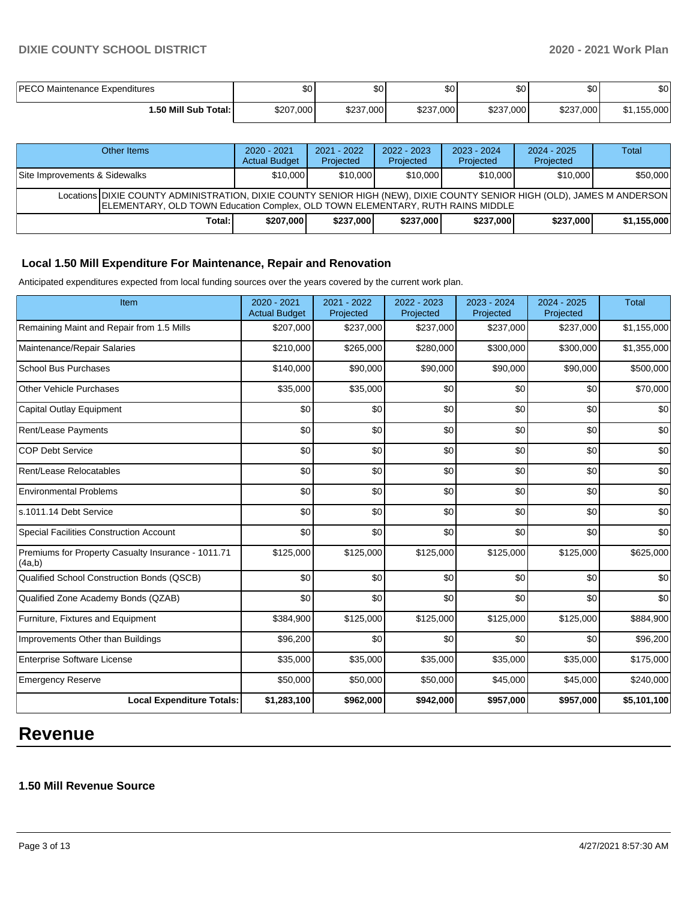| PECO Maintenance Expenditures | \$0       | ا 30      | $\sim$<br>w | ሶሳ<br>ູບບ | \$0 <sub>1</sub> | \$0                |
|-------------------------------|-----------|-----------|-------------|-----------|------------------|--------------------|
| i.50 Mill Sub Total: İ        | \$207,000 | \$237,000 | \$237,000   | \$237,000 | \$237,000        | .155.000<br>$\sim$ |

| Other Items                                                                                                                                                                                               | $2020 - 2021$<br><b>Actual Budget</b> | $2021 - 2022$<br>Projected | $2022 - 2023$<br>Projected | $2023 - 2024$<br>Projected | $2024 - 2025$<br>Projected | Total       |  |  |  |
|-----------------------------------------------------------------------------------------------------------------------------------------------------------------------------------------------------------|---------------------------------------|----------------------------|----------------------------|----------------------------|----------------------------|-------------|--|--|--|
| Site Improvements & Sidewalks                                                                                                                                                                             | \$10,000                              | \$10,000                   | \$10,000                   | \$10,000                   | \$10,000                   | \$50,000    |  |  |  |
| Locations DIXIE COUNTY ADMINISTRATION, DIXIE COUNTY SENIOR HIGH (NEW), DIXIE COUNTY SENIOR HIGH (OLD), JAMES M ANDERSON<br>ELEMENTARY, OLD TOWN Education Complex, OLD TOWN ELEMENTARY, RUTH RAINS MIDDLE |                                       |                            |                            |                            |                            |             |  |  |  |
| Total: I                                                                                                                                                                                                  | \$207,000                             | \$237,000                  | \$237,000                  | \$237,000                  | \$237,000                  | \$1,155,000 |  |  |  |

## **Local 1.50 Mill Expenditure For Maintenance, Repair and Renovation**

Anticipated expenditures expected from local funding sources over the years covered by the current work plan.

| Item                                                         | $2020 - 2021$<br><b>Actual Budget</b> | 2021 - 2022<br>Projected | $2022 - 2023$<br>Projected | $2023 - 2024$<br>Projected | 2024 - 2025<br>Projected | <b>Total</b> |
|--------------------------------------------------------------|---------------------------------------|--------------------------|----------------------------|----------------------------|--------------------------|--------------|
| Remaining Maint and Repair from 1.5 Mills                    | \$207,000                             | \$237,000                | \$237,000                  | \$237,000                  | \$237,000                | \$1,155,000  |
| Maintenance/Repair Salaries                                  | \$210,000                             | \$265,000                | \$280,000                  | \$300,000                  | \$300,000                | \$1,355,000  |
| <b>School Bus Purchases</b>                                  | \$140,000                             | \$90,000                 | \$90,000                   | \$90,000                   | \$90,000                 | \$500,000    |
| Other Vehicle Purchases                                      | \$35,000                              | \$35,000                 | \$0                        | \$0                        | \$0                      | \$70,000     |
| Capital Outlay Equipment                                     | \$0                                   | \$0                      | \$0                        | \$0                        | \$0                      | \$0          |
| <b>Rent/Lease Payments</b>                                   | \$0                                   | \$0                      | \$0                        | \$0                        | \$0                      | \$0          |
| <b>COP Debt Service</b>                                      | \$0                                   | \$0                      | \$0                        | \$0                        | \$0                      | \$0          |
| Rent/Lease Relocatables                                      | \$0                                   | \$0                      | \$0                        | \$0                        | \$0                      | \$0          |
| <b>Environmental Problems</b>                                | \$0                                   | \$0                      | \$0                        | \$0                        | \$0                      | \$0          |
| ls.1011.14 Debt Service                                      | \$0                                   | \$0                      | \$0                        | \$0                        | \$0                      | \$0          |
| <b>Special Facilities Construction Account</b>               | \$0                                   | \$0                      | \$0                        | \$0                        | \$0                      | \$0          |
| Premiums for Property Casualty Insurance - 1011.71<br>(4a,b) | \$125,000                             | \$125,000                | \$125,000                  | \$125,000                  | \$125,000                | \$625,000    |
| Qualified School Construction Bonds (QSCB)                   | \$0                                   | \$0                      | \$0                        | \$0                        | \$0                      | \$0          |
| Qualified Zone Academy Bonds (QZAB)                          | \$0                                   | \$0                      | \$0                        | \$0                        | \$0                      | \$0          |
| Furniture, Fixtures and Equipment                            | \$384,900                             | \$125,000                | \$125,000                  | \$125,000                  | \$125,000                | \$884,900    |
| Improvements Other than Buildings                            | \$96,200                              | \$0                      | \$0                        | \$0                        | \$0                      | \$96,200     |
| Enterprise Software License                                  | \$35,000                              | \$35,000                 | \$35,000                   | \$35,000                   | \$35,000                 | \$175,000    |
| <b>Emergency Reserve</b>                                     | \$50,000                              | \$50,000                 | \$50,000                   | \$45,000                   | \$45,000                 | \$240,000    |
| <b>Local Expenditure Totals:</b>                             | \$1,283,100                           | \$962,000                | \$942,000                  | \$957,000                  | \$957,000                | \$5,101,100  |

# **Revenue**

#### **1.50 Mill Revenue Source**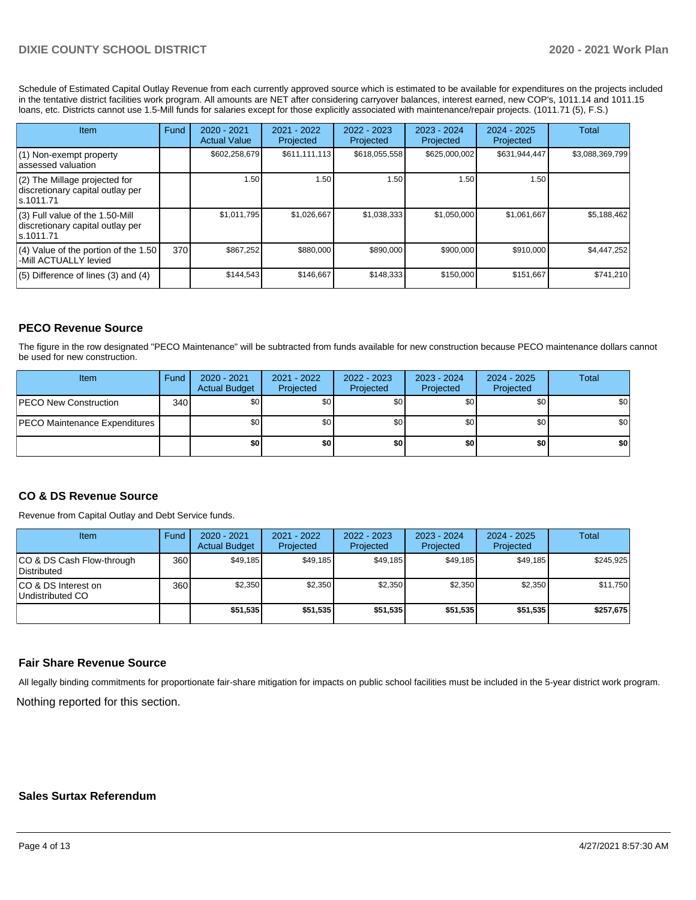Schedule of Estimated Capital Outlay Revenue from each currently approved source which is estimated to be available for expenditures on the projects included in the tentative district facilities work program. All amounts are NET after considering carryover balances, interest earned, new COP's, 1011.14 and 1011.15 loans, etc. Districts cannot use 1.5-Mill funds for salaries except for those explicitly associated with maintenance/repair projects. (1011.71 (5), F.S.)

| Item                                                                                | Fund | 2020 - 2021<br><b>Actual Value</b> | $2021 - 2022$<br>Projected | $2022 - 2023$<br>Projected | $2023 - 2024$<br>Projected | $2024 - 2025$<br>Projected | <b>Total</b>    |
|-------------------------------------------------------------------------------------|------|------------------------------------|----------------------------|----------------------------|----------------------------|----------------------------|-----------------|
| (1) Non-exempt property<br>lassessed valuation                                      |      | \$602,258,679                      | \$611,111,113              | \$618,055,558              | \$625,000,002              | \$631,944,447              | \$3,088,369,799 |
| (2) The Millage projected for<br>discretionary capital outlay per<br>ls.1011.71     |      | 1.50                               | 1.50                       | .50                        | 1.50                       | 1.50                       |                 |
| $(3)$ Full value of the 1.50-Mill<br>discretionary capital outlay per<br>ls.1011.71 |      | \$1.011.795                        | \$1.026.667                | \$1,038,333                | \$1.050.000                | \$1,061,667                | \$5,188,462     |
| $(4)$ Value of the portion of the 1.50<br>-Mill ACTUALLY levied                     | 370  | \$867,252                          | \$880,000                  | \$890,000                  | \$900,000                  | \$910,000                  | \$4,447,252     |
| $(5)$ Difference of lines (3) and (4)                                               |      | \$144,543                          | \$146,667                  | \$148,333                  | \$150,000                  | \$151,667                  | \$741,210       |

## **PECO Revenue Source**

The figure in the row designated "PECO Maintenance" will be subtracted from funds available for new construction because PECO maintenance dollars cannot be used for new construction.

| Item                                 | Fund | $2020 - 2021$<br><b>Actual Budget</b> | 2021 - 2022<br>Projected | $2022 - 2023$<br>Projected | 2023 - 2024<br>Projected | $2024 - 2025$<br>Projected | Total            |
|--------------------------------------|------|---------------------------------------|--------------------------|----------------------------|--------------------------|----------------------------|------------------|
| <b>IPECO New Construction</b>        | 340  | \$0                                   | \$٥Ι                     | \$0                        | \$0                      | \$0                        | \$0 <sub>1</sub> |
| <b>PECO Maintenance Expenditures</b> |      | \$0 I                                 | \$0                      | \$0                        | \$0 <sub>1</sub>         | \$0                        | \$0              |
|                                      |      | \$0                                   | \$0                      | \$0                        | \$0                      | \$0                        | \$0              |

#### **CO & DS Revenue Source**

Revenue from Capital Outlay and Debt Service funds.

| <b>Item</b>                                     | Fund | $2020 - 2021$<br><b>Actual Budget</b> | 2021 - 2022<br>Projected | 2022 - 2023<br>Projected | $2023 - 2024$<br>Projected | $2024 - 2025$<br>Projected | Total     |
|-------------------------------------------------|------|---------------------------------------|--------------------------|--------------------------|----------------------------|----------------------------|-----------|
| CO & DS Cash Flow-through<br><b>Distributed</b> | 360  | \$49.185                              | \$49,185                 | \$49,185                 | \$49.185                   | \$49,185                   | \$245,925 |
| CO & DS Interest on<br>Undistributed CO         | 360  | \$2,350                               | \$2,350                  | \$2,350                  | \$2,350                    | \$2,350                    | \$11,750  |
|                                                 |      | \$51,535                              | \$51,535                 | \$51,535                 | \$51.535                   | \$51,535                   | \$257,675 |

#### **Fair Share Revenue Source**

Nothing reported for this section. All legally binding commitments for proportionate fair-share mitigation for impacts on public school facilities must be included in the 5-year district work program.

### **Sales Surtax Referendum**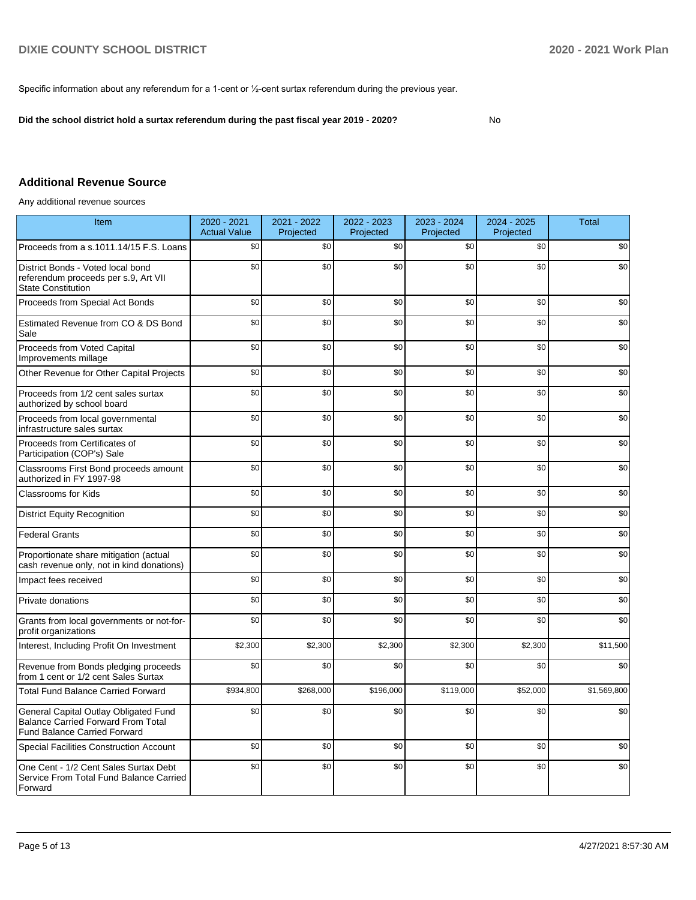Specific information about any referendum for a 1-cent or ½-cent surtax referendum during the previous year.

**Did the school district hold a surtax referendum during the past fiscal year 2019 - 2020?**

No

## **Additional Revenue Source**

Any additional revenue sources

| Item                                                                                                                      | 2020 - 2021<br><b>Actual Value</b> | 2021 - 2022<br>Projected | 2022 - 2023<br>Projected | 2023 - 2024<br>Projected | 2024 - 2025<br>Projected | <b>Total</b> |
|---------------------------------------------------------------------------------------------------------------------------|------------------------------------|--------------------------|--------------------------|--------------------------|--------------------------|--------------|
| Proceeds from a s.1011.14/15 F.S. Loans                                                                                   | \$0                                | \$0                      | \$0                      | \$0                      | \$0                      | \$0          |
| District Bonds - Voted local bond<br>referendum proceeds per s.9, Art VII<br><b>State Constitution</b>                    | \$0                                | \$0                      | \$0                      | \$0                      | \$0                      | \$0          |
| Proceeds from Special Act Bonds                                                                                           | \$0                                | \$0                      | \$0                      | \$0                      | \$0                      | \$0          |
| Estimated Revenue from CO & DS Bond<br>Sale                                                                               | \$0                                | \$0                      | \$0                      | \$0                      | \$0                      | \$0          |
| Proceeds from Voted Capital<br>Improvements millage                                                                       | \$0                                | \$0                      | \$0                      | \$0                      | \$0                      | \$0          |
| Other Revenue for Other Capital Projects                                                                                  | \$0                                | \$0                      | \$0                      | \$0                      | \$0                      | \$0          |
| Proceeds from 1/2 cent sales surtax<br>authorized by school board                                                         | \$0                                | \$0                      | \$0                      | \$0                      | \$0                      | \$0          |
| Proceeds from local governmental<br>infrastructure sales surtax                                                           | \$0                                | \$0                      | \$0                      | \$0                      | \$0                      | \$0          |
| Proceeds from Certificates of<br>Participation (COP's) Sale                                                               | \$0                                | \$0                      | \$0                      | \$0                      | \$0                      | \$0          |
| Classrooms First Bond proceeds amount<br>authorized in FY 1997-98                                                         | \$0                                | \$0                      | \$0                      | \$0                      | \$0                      | \$0          |
| Classrooms for Kids                                                                                                       | \$0                                | \$0                      | \$0                      | \$0                      | \$0                      | \$0          |
| <b>District Equity Recognition</b>                                                                                        | \$0                                | \$0                      | \$0                      | \$0                      | \$0                      | \$0          |
| <b>Federal Grants</b>                                                                                                     | \$0                                | \$0                      | \$0                      | \$0                      | \$0                      | \$0          |
| Proportionate share mitigation (actual<br>cash revenue only, not in kind donations)                                       | \$0                                | \$0                      | \$0                      | \$0                      | \$0                      | \$0          |
| Impact fees received                                                                                                      | \$0                                | \$0                      | \$0                      | \$0                      | \$0                      | \$0          |
| Private donations                                                                                                         | \$0                                | \$0                      | \$0                      | \$0                      | \$0                      | \$0          |
| Grants from local governments or not-for-<br>profit organizations                                                         | \$0                                | \$0                      | \$0                      | \$0                      | \$0                      | \$0          |
| Interest, Including Profit On Investment                                                                                  | \$2,300                            | \$2,300                  | \$2,300                  | \$2,300                  | \$2,300                  | \$11,500     |
| Revenue from Bonds pledging proceeds<br>from 1 cent or 1/2 cent Sales Surtax                                              | \$0                                | \$0                      | \$0                      | \$0                      | \$0                      | \$0          |
| <b>Total Fund Balance Carried Forward</b>                                                                                 | \$934,800                          | \$268,000                | \$196,000                | \$119,000                | \$52,000                 | \$1,569,800  |
| General Capital Outlay Obligated Fund<br><b>Balance Carried Forward From Total</b><br><b>Fund Balance Carried Forward</b> | \$0                                | \$0                      | \$0                      | \$0                      | \$0                      | \$0          |
| <b>Special Facilities Construction Account</b>                                                                            | \$0                                | \$0                      | \$0                      | \$0                      | \$0                      | \$0          |
| One Cent - 1/2 Cent Sales Surtax Debt<br>Service From Total Fund Balance Carried<br>Forward                               | \$0                                | \$0                      | \$0                      | \$0                      | \$0                      | \$0          |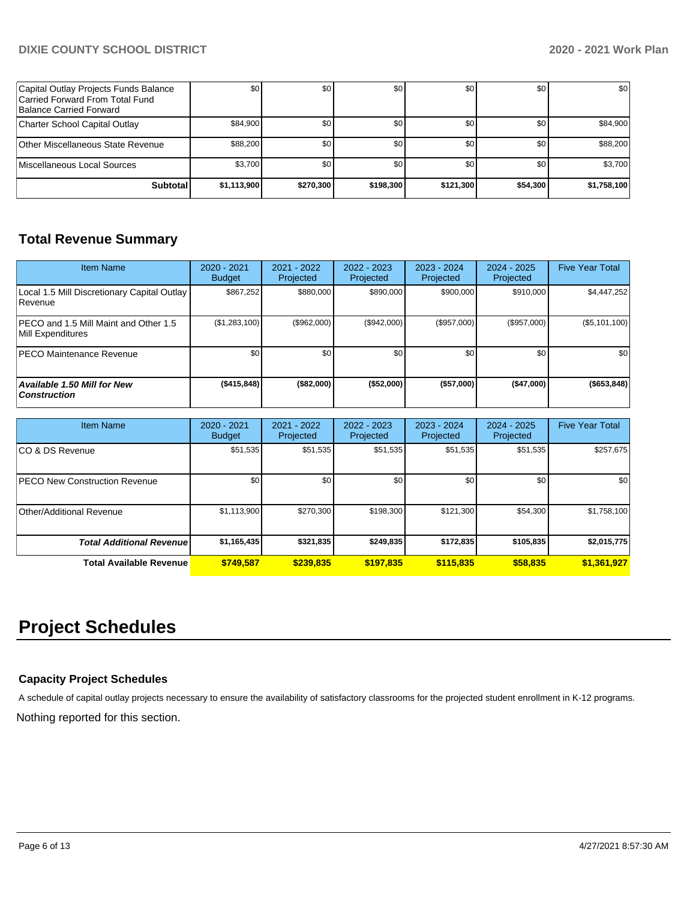## **DIXIE COUNTY SCHOOL DISTRICT 2020 - 2021 Work Plan**

| Capital Outlay Projects Funds Balance<br>Carried Forward From Total Fund<br>Balance Carried Forward | \$0         | \$0              | \$0       | \$0       | \$0      | \$0         |
|-----------------------------------------------------------------------------------------------------|-------------|------------------|-----------|-----------|----------|-------------|
| Charter School Capital Outlay                                                                       | \$84,900    | \$0 <sub>1</sub> | \$0       | \$0       | \$0      | \$84,900    |
| Other Miscellaneous State Revenue                                                                   | \$88,200    | \$0 <sub>1</sub> | \$0       | \$0       | \$0      | \$88,200    |
| Miscellaneous Local Sources                                                                         | \$3.700     | \$0 <sub>1</sub> | \$0       | \$0       | \$0      | \$3,700     |
| Subtotal                                                                                            | \$1,113,900 | \$270,300        | \$198,300 | \$121,300 | \$54,300 | \$1,758,100 |

## **Total Revenue Summary**

| <b>Item Name</b>                                                  | $2020 - 2021$<br><b>Budget</b> | $2021 - 2022$<br>Projected | 2022 - 2023<br>Projected | $2023 - 2024$<br>Projected | 2024 - 2025<br>Projected | <b>Five Year Total</b> |
|-------------------------------------------------------------------|--------------------------------|----------------------------|--------------------------|----------------------------|--------------------------|------------------------|
| Local 1.5 Mill Discretionary Capital Outlay<br><b>Revenue</b>     | \$867.252                      | \$880,000                  | \$890,000                | \$900,000                  | \$910,000                | \$4,447,252            |
| <b>PECO</b> and 1.5 Mill Maint and Other 1.5<br>Mill Expenditures | (\$1,283,100)                  | (\$962,000)                | (S942.000)               | $(\$957,000)$              | (\$957,000)              | (\$5,101,100)          |
| IPECO Maintenance Revenue                                         | \$0                            | \$0 <sub>1</sub>           | \$0                      | \$0                        | \$0 <sub>1</sub>         | \$0                    |
| <b>Available 1.50 Mill for New</b><br><b>Construction</b>         | ( \$415, 848)                  | (\$82,000)                 | (\$52,000)               | (\$57,000)                 | (\$47,000)               | ( \$653, 848)          |

| Item Name                             | 2020 - 2021<br><b>Budget</b> | $2021 - 2022$<br>Projected | 2022 - 2023<br>Projected | 2023 - 2024<br>Projected | $2024 - 2025$<br>Projected | <b>Five Year Total</b> |
|---------------------------------------|------------------------------|----------------------------|--------------------------|--------------------------|----------------------------|------------------------|
| ICO & DS Revenue                      | \$51,535                     | \$51,535                   | \$51,535                 | \$51,535                 | \$51,535                   | \$257,675              |
| <b>IPECO New Construction Revenue</b> | \$0                          | \$0                        | \$0                      | \$0                      | \$0                        | \$0                    |
| Other/Additional Revenue              | \$1,113,900                  | \$270,300                  | \$198,300                | \$121,300                | \$54,300                   | \$1,758,100            |
| <b>Total Additional Revenue</b>       | \$1,165,435                  | \$321,835                  | \$249.835                | \$172,835                | \$105,835                  | \$2,015,775            |
| <b>Total Available Revenue</b>        | \$749.587                    | \$239,835                  | \$197,835                | \$115,835                | \$58,835                   | \$1,361,927            |

# **Project Schedules**

## **Capacity Project Schedules**

A schedule of capital outlay projects necessary to ensure the availability of satisfactory classrooms for the projected student enrollment in K-12 programs.

Nothing reported for this section.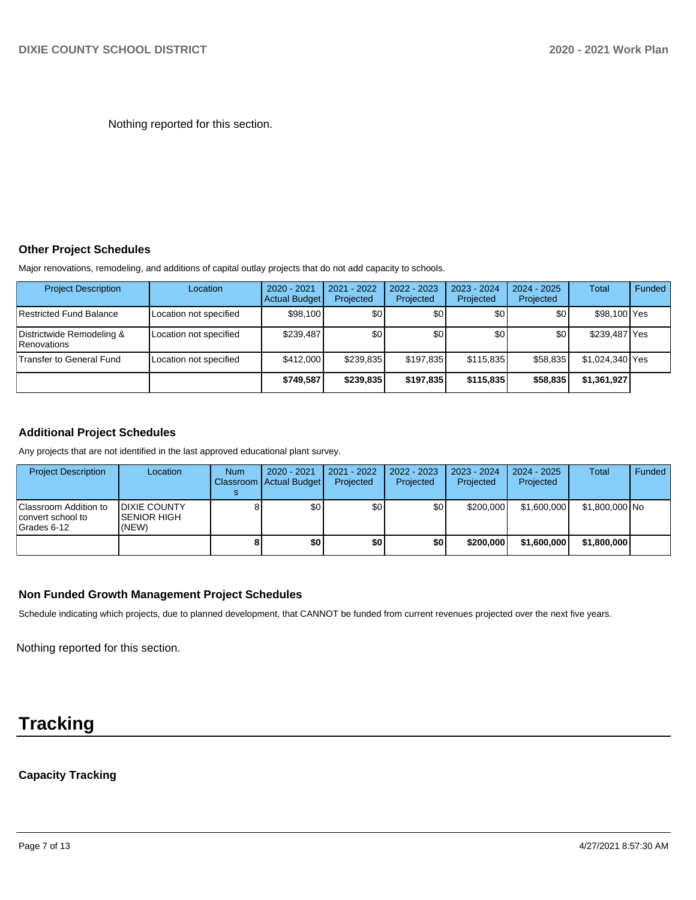Nothing reported for this section.

#### **Other Project Schedules**

Major renovations, remodeling, and additions of capital outlay projects that do not add capacity to schools.

| <b>Project Description</b>                      | Location               | 2020 - 2021<br><b>Actual Budget</b> | $2021 - 2022$<br>Projected | 2022 - 2023<br>Projected | 2023 - 2024<br>Projected | $2024 - 2025$<br>Projected | Total           | Funded |
|-------------------------------------------------|------------------------|-------------------------------------|----------------------------|--------------------------|--------------------------|----------------------------|-----------------|--------|
| Restricted Fund Balance                         | Location not specified | \$98,100                            | \$0                        | \$0                      | \$0                      | \$0 <sub>1</sub>           | \$98,100 Yes    |        |
| Districtwide Remodeling &<br><b>Renovations</b> | Location not specified | \$239.487                           | \$0                        | \$0                      | ا 30                     | \$0                        | \$239,487 Yes   |        |
| Transfer to General Fund                        | Location not specified | \$412,000                           | \$239.835                  | \$197.835                | \$115,835                | \$58,835                   | \$1,024,340 Yes |        |
|                                                 |                        | \$749.587                           | \$239,835                  | \$197,835                | \$115,835                | \$58,835                   | \$1,361,927     |        |

### **Additional Project Schedules**

Any projects that are not identified in the last approved educational plant survey.

| <b>Project Description</b>                                | Location                                      | <b>Num</b> | $2020 - 2021$<br>Classroom Actual Budget | 2021 - 2022<br>Projected | 2022 - 2023<br>Projected | 2023 - 2024<br>Projected | 2024 - 2025<br>Projected | Total          | Funded |
|-----------------------------------------------------------|-----------------------------------------------|------------|------------------------------------------|--------------------------|--------------------------|--------------------------|--------------------------|----------------|--------|
|                                                           |                                               |            |                                          |                          |                          |                          |                          |                |        |
| Classroom Addition to<br>convert school to<br>Grades 6-12 | <b>IDIXIE COUNTY</b><br>ISENIOR HIGH<br>(NEW) |            | \$0 <sub>1</sub>                         | \$0                      | \$0                      | \$200,000                | \$1,600,000              | \$1,800,000 No |        |
|                                                           |                                               |            | \$0                                      | \$0                      | \$0                      | \$200,000                | \$1,600,000              | \$1,800,000    |        |

### **Non Funded Growth Management Project Schedules**

Schedule indicating which projects, due to planned development, that CANNOT be funded from current revenues projected over the next five years.

Nothing reported for this section.

# **Tracking**

## **Capacity Tracking**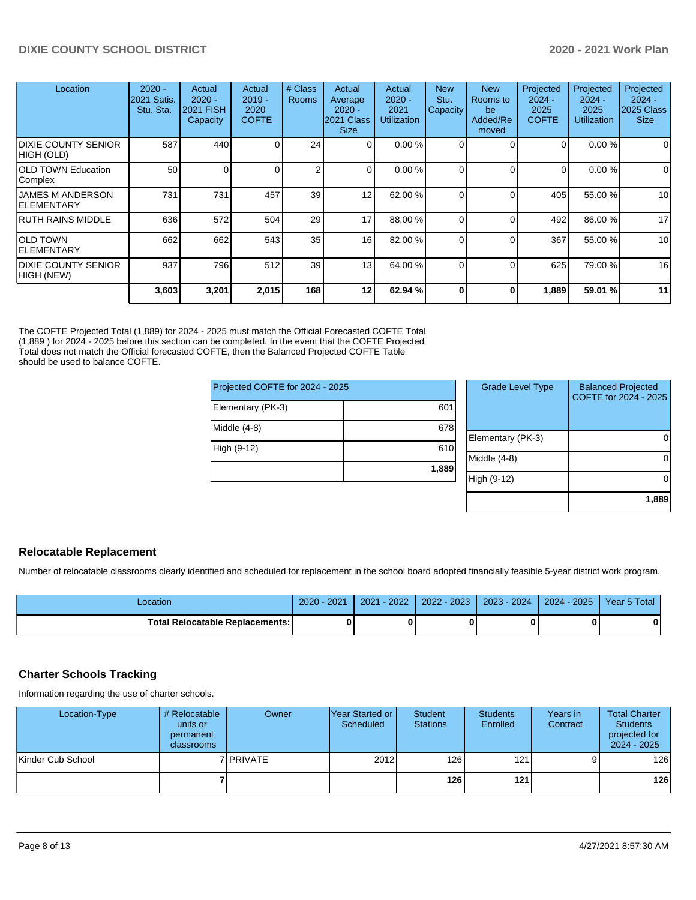| Location                                      | $2020 -$<br><b>2021 Satis.</b><br>Stu. Sta. | Actual<br>$2020 -$<br><b>2021 FISH</b><br>Capacity | Actual<br>$2019 -$<br>2020<br><b>COFTE</b> | # Class<br><b>Rooms</b> | Actual<br>Average<br>$2020 -$<br>2021 Class<br><b>Size</b> | Actual<br>$2020 -$<br>2021<br><b>Utilization</b> | <b>New</b><br>Stu.<br>Capacity | <b>New</b><br>Rooms to<br>be<br>Added/Re<br>moved | Projected<br>$2024 -$<br>2025<br><b>COFTE</b> | Projected<br>$2024 -$<br>2025<br><b>Utilization</b> | Projected<br>$2024 -$<br>2025 Class<br><b>Size</b> |
|-----------------------------------------------|---------------------------------------------|----------------------------------------------------|--------------------------------------------|-------------------------|------------------------------------------------------------|--------------------------------------------------|--------------------------------|---------------------------------------------------|-----------------------------------------------|-----------------------------------------------------|----------------------------------------------------|
| <b>DIXIE COUNTY SENIOR</b><br>HIGH (OLD)      | 587                                         | 440                                                |                                            | 24                      | $\overline{0}$                                             | 0.00%                                            | 0                              |                                                   | 0                                             | 0.00%                                               | $\Omega$                                           |
| <b>OLD TOWN Education</b><br> Complex         | 50                                          | 0                                                  |                                            | $\overline{2}$          | $\Omega$                                                   | 0.00%                                            | 0                              | $\Omega$                                          | $\Omega$                                      | 0.00%                                               | $\Omega$                                           |
| <b>JAMES M ANDERSON</b><br><b>IELEMENTARY</b> | 731                                         | 731                                                | 457                                        | 39                      | 12                                                         | 62.00 %                                          | $\Omega$                       | $\Omega$                                          | 405                                           | 55.00 %                                             | 10 <sup>1</sup>                                    |
| IRUTH RAINS MIDDLE                            | 636                                         | 572                                                | 504                                        | 29                      | 17                                                         | 88.00 %                                          |                                | $\Omega$                                          | 492                                           | 86.00 %                                             | 17                                                 |
| <b>OLD TOWN</b><br><b>ELEMENTARY</b>          | 662                                         | 662                                                | 543                                        | 35                      | 16                                                         | 82.00 %                                          | $\Omega$                       | $\Omega$                                          | 367                                           | 55.00 %                                             | 10                                                 |
| <b>DIXIE COUNTY SENIOR</b><br>HIGH (NEW)      | 937                                         | 796                                                | 512                                        | 39                      | 13                                                         | 64.00 %                                          | $\Omega$                       |                                                   | 625                                           | 79.00 %                                             | 16                                                 |
|                                               | 3,603                                       | 3,201                                              | 2,015                                      | 168                     | 12                                                         | 62.94 %                                          | $\mathbf{0}$                   | 0                                                 | 1,889                                         | 59.01 %                                             | 11                                                 |

The COFTE Projected Total (1,889) for 2024 - 2025 must match the Official Forecasted COFTE Total (1,889 ) for 2024 - 2025 before this section can be completed. In the event that the COFTE Projected Total does not match the Official forecasted COFTE, then the Balanced Projected COFTE Table should be used to balance COFTE.

| Projected COFTE for 2024 - 2025 |       |  |  |  |  |  |
|---------------------------------|-------|--|--|--|--|--|
| Elementary (PK-3)               | 601   |  |  |  |  |  |
| Middle (4-8)                    | 678   |  |  |  |  |  |
| High (9-12)                     | 610   |  |  |  |  |  |
|                                 | 1,889 |  |  |  |  |  |

| <b>Grade Level Type</b> | <b>Balanced Projected</b><br>COFTE for 2024 - 2025 |
|-------------------------|----------------------------------------------------|
| Elementary (PK-3)       |                                                    |
| Middle (4-8)            |                                                    |
| High (9-12)             |                                                    |
|                         | 1,889                                              |

## **Relocatable Replacement**

Number of relocatable classrooms clearly identified and scheduled for replacement in the school board adopted financially feasible 5-year district work program.

| Location                               | $-2021$<br>$2020 - 1$ | $-2022$<br>2021 | 2022 - 2023 | 2023 - 2024 | 2024 - 2025 | Year 5 Total |
|----------------------------------------|-----------------------|-----------------|-------------|-------------|-------------|--------------|
| <b>Total Relocatable Replacements:</b> |                       |                 |             |             |             | $\bf{0}$     |

### **Charter Schools Tracking**

Information regarding the use of charter schools.

| Location-Type     | # Relocatable<br>units or<br>permanent<br>classrooms | Owner            | IYear Started or I<br>Scheduled | Student<br><b>Stations</b> | <b>Students</b><br>Enrolled | Years in<br>Contract | <b>Total Charter</b><br><b>Students</b><br>projected for<br>2024 - 2025 |
|-------------------|------------------------------------------------------|------------------|---------------------------------|----------------------------|-----------------------------|----------------------|-------------------------------------------------------------------------|
| Kinder Cub School |                                                      | 7 <b>PRIVATE</b> | 2012                            | 126                        | 121                         |                      | 126                                                                     |
|                   |                                                      |                  |                                 | 126                        | 121                         |                      | 126                                                                     |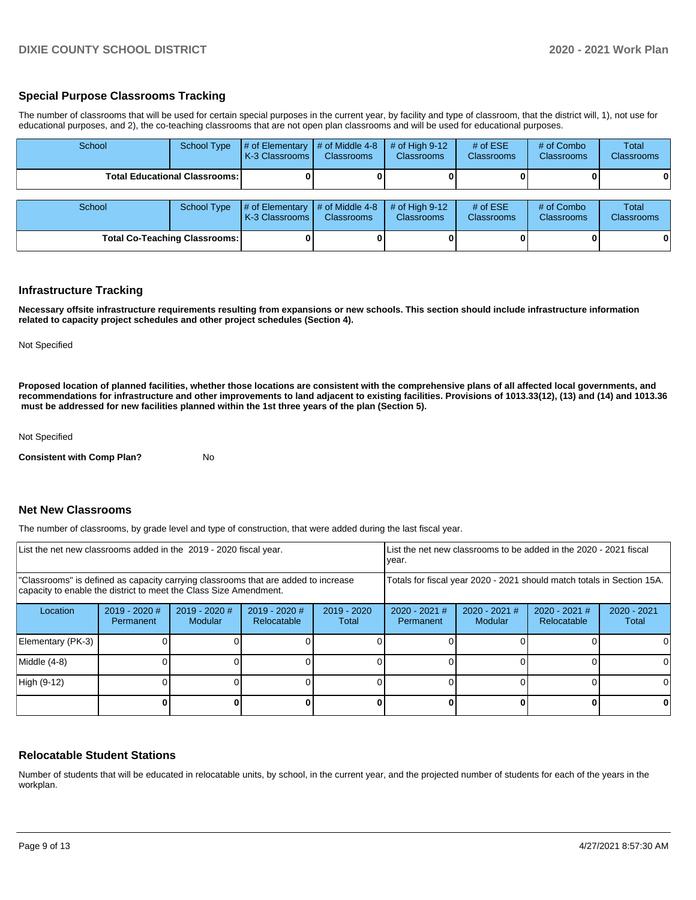#### **Special Purpose Classrooms Tracking**

The number of classrooms that will be used for certain special purposes in the current year, by facility and type of classroom, that the district will, 1), not use for educational purposes, and 2), the co-teaching classrooms that are not open plan classrooms and will be used for educational purposes.

| School                               | School Type | # of Elementary<br>K-3 Classrooms | # of Middle 4-8<br><b>Classrooms</b> | # of High $9-12$<br><b>Classrooms</b> | # of $ESE$<br>Classrooms | # of Combo<br><b>Classrooms</b> | Total<br><b>Classrooms</b> |
|--------------------------------------|-------------|-----------------------------------|--------------------------------------|---------------------------------------|--------------------------|---------------------------------|----------------------------|
| <b>Total Educational Classrooms:</b> |             |                                   |                                      |                                       |                          |                                 | 01                         |
| School                               | School Type | # of Elementary<br>K-3 Classrooms | # of Middle 4-8<br><b>Classrooms</b> | # of High $9-12$<br><b>Classrooms</b> | # of $ESE$<br>Classrooms | # of Combo<br><b>Classrooms</b> | Total<br><b>Classrooms</b> |
| <b>Total Co-Teaching Classrooms:</b> |             |                                   |                                      |                                       |                          |                                 | $\mathbf{0}$               |

#### **Infrastructure Tracking**

**Necessary offsite infrastructure requirements resulting from expansions or new schools. This section should include infrastructure information related to capacity project schedules and other project schedules (Section 4).** 

Not Specified

**Proposed location of planned facilities, whether those locations are consistent with the comprehensive plans of all affected local governments, and recommendations for infrastructure and other improvements to land adjacent to existing facilities. Provisions of 1013.33(12), (13) and (14) and 1013.36** must be addressed for new facilities planned within the 1st three years of the plan (Section 5).

Not Specified

**Consistent with Comp Plan?** No

#### **Net New Classrooms**

The number of classrooms, by grade level and type of construction, that were added during the last fiscal year.

| List the net new classrooms added in the 2019 - 2020 fiscal year.                                                                                       |                              |                                 |                              |                                                                        | List the net new classrooms to be added in the 2020 - 2021 fiscal<br>year. |                                 |                              |                      |  |
|---------------------------------------------------------------------------------------------------------------------------------------------------------|------------------------------|---------------------------------|------------------------------|------------------------------------------------------------------------|----------------------------------------------------------------------------|---------------------------------|------------------------------|----------------------|--|
| "Classrooms" is defined as capacity carrying classrooms that are added to increase<br>capacity to enable the district to meet the Class Size Amendment. |                              |                                 |                              | Totals for fiscal year 2020 - 2021 should match totals in Section 15A. |                                                                            |                                 |                              |                      |  |
| Location                                                                                                                                                | $2019 - 2020$ #<br>Permanent | 2019 - 2020 #<br><b>Modular</b> | 2019 - 2020 #<br>Relocatable | $2019 - 2020$<br>Total                                                 | $2020 - 2021$ #<br>Permanent                                               | 2020 - 2021 #<br><b>Modular</b> | 2020 - 2021 #<br>Relocatable | 2020 - 2021<br>Total |  |
| Elementary (PK-3)                                                                                                                                       |                              |                                 |                              |                                                                        |                                                                            |                                 |                              |                      |  |
| Middle (4-8)                                                                                                                                            |                              |                                 |                              |                                                                        |                                                                            |                                 |                              |                      |  |
| High (9-12)                                                                                                                                             |                              |                                 |                              |                                                                        |                                                                            |                                 |                              | <sup>0</sup>         |  |
|                                                                                                                                                         |                              |                                 |                              |                                                                        |                                                                            |                                 |                              |                      |  |

#### **Relocatable Student Stations**

Number of students that will be educated in relocatable units, by school, in the current year, and the projected number of students for each of the years in the workplan.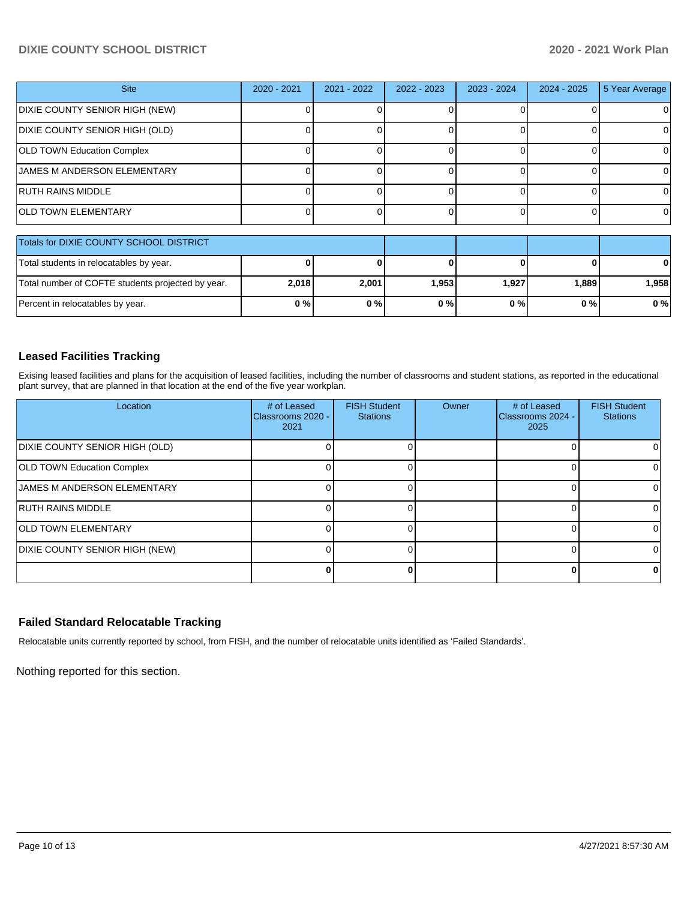## **DIXIE COUNTY SCHOOL DISTRICT 2020 - 2021 Work Plan**

| <b>Site</b>                                       | 2020 - 2021 | 2021 - 2022 | 2022 - 2023 | 2023 - 2024 | $2024 - 2025$ | 5 Year Average |
|---------------------------------------------------|-------------|-------------|-------------|-------------|---------------|----------------|
| DIXIE COUNTY SENIOR HIGH (NEW)                    |             |             |             |             |               | O              |
| DIXIE COUNTY SENIOR HIGH (OLD)                    |             |             |             |             |               | 0              |
| <b>OLD TOWN Education Complex</b>                 |             |             |             |             |               | 0              |
| <b>JAMES M ANDERSON ELEMENTARY</b>                |             |             |             |             |               | 0              |
| <b>RUTH RAINS MIDDLE</b>                          |             |             |             |             |               | 0              |
| <b>OLD TOWN ELEMENTARY</b>                        |             |             |             |             |               | $\Omega$       |
|                                                   |             |             |             |             |               |                |
| Totals for DIXIE COUNTY SCHOOL DISTRICT           |             |             |             |             |               |                |
| Total students in relocatables by year.           |             |             |             |             |               |                |
| Total number of COFTE students projected by year. | 2,018       | 2,001       | 1,953       | 1,927       | 1,889         | 1,958          |

### **Leased Facilities Tracking**

Exising leased facilities and plans for the acquisition of leased facilities, including the number of classrooms and student stations, as reported in the educational plant survey, that are planned in that location at the end of the five year workplan.

Percent in relocatables by year. **0 % 0 % 0 % 0 % 0 % 0 %**

| Location                              | # of Leased<br><b>IClassrooms 2020 -</b><br>2021 | <b>FISH Student</b><br><b>Stations</b> | <b>Owner</b> | # of Leased<br>Classrooms 2024 -<br>2025 | <b>FISH Student</b><br><b>Stations</b> |
|---------------------------------------|--------------------------------------------------|----------------------------------------|--------------|------------------------------------------|----------------------------------------|
| <b>DIXIE COUNTY SENIOR HIGH (OLD)</b> |                                                  |                                        |              |                                          |                                        |
| <b>OLD TOWN Education Complex</b>     |                                                  |                                        |              |                                          |                                        |
| <b>JAMES M ANDERSON ELEMENTARY</b>    |                                                  |                                        |              |                                          |                                        |
| <b>RUTH RAINS MIDDLE</b>              |                                                  |                                        |              |                                          |                                        |
| <b>OLD TOWN ELEMENTARY</b>            |                                                  |                                        |              |                                          |                                        |
| DIXIE COUNTY SENIOR HIGH (NEW)        |                                                  |                                        |              |                                          | 0                                      |
|                                       |                                                  |                                        |              |                                          |                                        |

## **Failed Standard Relocatable Tracking**

Relocatable units currently reported by school, from FISH, and the number of relocatable units identified as 'Failed Standards'.

Nothing reported for this section.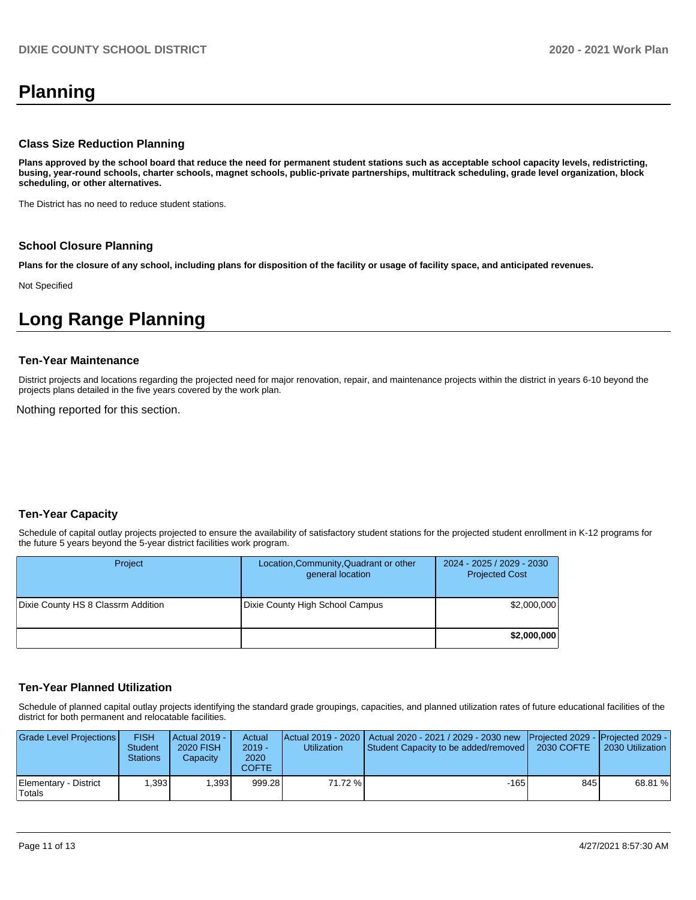# **Planning**

#### **Class Size Reduction Planning**

**Plans approved by the school board that reduce the need for permanent student stations such as acceptable school capacity levels, redistricting, busing, year-round schools, charter schools, magnet schools, public-private partnerships, multitrack scheduling, grade level organization, block scheduling, or other alternatives.**

The District has no need to reduce student stations.

#### **School Closure Planning**

**Plans for the closure of any school, including plans for disposition of the facility or usage of facility space, and anticipated revenues.** 

Not Specified

# **Long Range Planning**

#### **Ten-Year Maintenance**

District projects and locations regarding the projected need for major renovation, repair, and maintenance projects within the district in years 6-10 beyond the projects plans detailed in the five years covered by the work plan.

Nothing reported for this section.

#### **Ten-Year Capacity**

Schedule of capital outlay projects projected to ensure the availability of satisfactory student stations for the projected student enrollment in K-12 programs for the future 5 years beyond the 5-year district facilities work program.

| Project                            | Location, Community, Quadrant or other<br>general location | 2024 - 2025 / 2029 - 2030<br><b>Projected Cost</b> |
|------------------------------------|------------------------------------------------------------|----------------------------------------------------|
| Dixie County HS 8 Classrm Addition | Dixie County High School Campus                            | \$2,000,000                                        |
|                                    |                                                            | \$2,000,000                                        |

#### **Ten-Year Planned Utilization**

Schedule of planned capital outlay projects identifying the standard grade groupings, capacities, and planned utilization rates of future educational facilities of the district for both permanent and relocatable facilities.

| Grade Level Projections         | <b>FISH</b><br><b>Student</b><br><b>Stations</b> | <b>Actual 2019 -</b><br>2020 FISH<br>Capacity | Actual<br>$2019 -$<br>2020<br>COFTE | <b>Utilization</b> | Actual 2019 - 2020   Actual 2020 - 2021 / 2029 - 2030 new   Projected 2029 -   Projected 2029 -<br>Student Capacity to be added/removed   2030 COFTE |     | 2030 Utilization |
|---------------------------------|--------------------------------------------------|-----------------------------------------------|-------------------------------------|--------------------|------------------------------------------------------------------------------------------------------------------------------------------------------|-----|------------------|
| Elementary - District<br>Totals | .393 <sup>1</sup>                                | .393                                          | 999.28                              | 71.72 %            | $-165$                                                                                                                                               | 845 | 68.81 %          |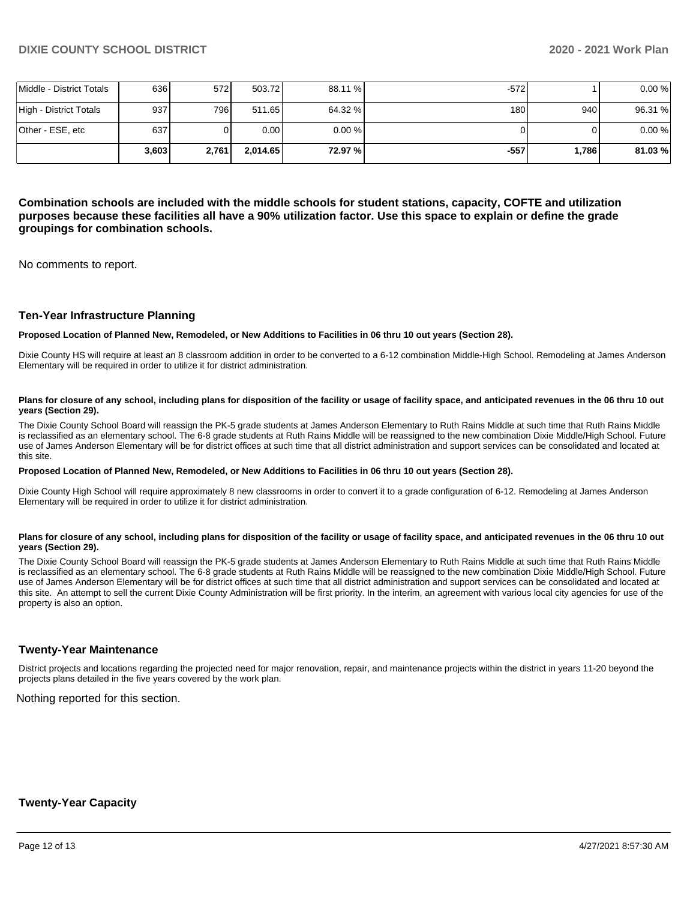|                          | 3.603 | 2,761 | 2.014.65 | 72.97 %   | -557   | 1.786 | 81.03%  |
|--------------------------|-------|-------|----------|-----------|--------|-------|---------|
| Other - ESE, etc         | 637   |       | 0.00     | $0.00 \%$ |        |       | 0.00%   |
| High - District Totals   | 937I  | 796 I | 511.65   | 64.32 %   | 180    | 940   | 96.31 % |
| Middle - District Totals | 636   | 572I  | 503.72   | 88.11 %   | $-572$ |       | 0.00%   |

**Combination schools are included with the middle schools for student stations, capacity, COFTE and utilization purposes because these facilities all have a 90% utilization factor. Use this space to explain or define the grade groupings for combination schools.** 

No comments to report.

#### **Ten-Year Infrastructure Planning**

#### **Proposed Location of Planned New, Remodeled, or New Additions to Facilities in 06 thru 10 out years (Section 28).**

Dixie County HS will require at least an 8 classroom addition in order to be converted to a 6-12 combination Middle-High School. Remodeling at James Anderson Elementary will be required in order to utilize it for district administration.

#### Plans for closure of any school, including plans for disposition of the facility or usage of facility space, and anticipated revenues in the 06 thru 10 out **years (Section 29).**

The Dixie County School Board will reassign the PK-5 grade students at James Anderson Elementary to Ruth Rains Middle at such time that Ruth Rains Middle is reclassified as an elementary school. The 6-8 grade students at Ruth Rains Middle will be reassigned to the new combination Dixie Middle/High School. Future use of James Anderson Elementary will be for district offices at such time that all district administration and support services can be consolidated and located at this site.

#### **Proposed Location of Planned New, Remodeled, or New Additions to Facilities in 06 thru 10 out years (Section 28).**

Dixie County High School will require approximately 8 new classrooms in order to convert it to a grade configuration of 6-12. Remodeling at James Anderson Elementary will be required in order to utilize it for district administration.

#### Plans for closure of any school, including plans for disposition of the facility or usage of facility space, and anticipated revenues in the 06 thru 10 out **years (Section 29).**

The Dixie County School Board will reassign the PK-5 grade students at James Anderson Elementary to Ruth Rains Middle at such time that Ruth Rains Middle is reclassified as an elementary school. The 6-8 grade students at Ruth Rains Middle will be reassigned to the new combination Dixie Middle/High School. Future use of James Anderson Elementary will be for district offices at such time that all district administration and support services can be consolidated and located at this site. An attempt to sell the current Dixie County Administration will be first priority. In the interim, an agreement with various local city agencies for use of the property is also an option.

#### **Twenty-Year Maintenance**

District projects and locations regarding the projected need for major renovation, repair, and maintenance projects within the district in years 11-20 beyond the projects plans detailed in the five years covered by the work plan.

Nothing reported for this section.

#### **Twenty-Year Capacity**